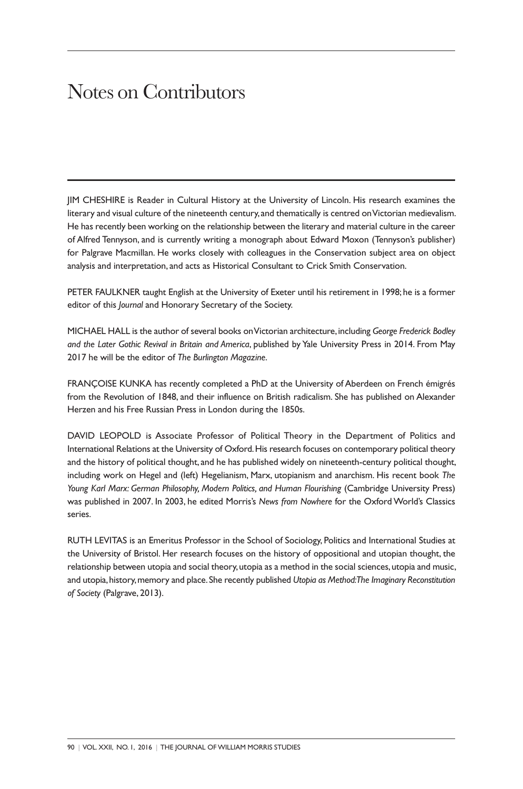## Notes on Contributors

JIM CHESHIRE is Reader in Cultural History at the University of Lincoln. His research examines the literary and visual culture of the nineteenth century, and thematically is centred onVictorian medievalism. He has recently been working on the relationship between the literary and material culture in the career of Alfred Tennyson, and is currently writing a monograph about Edward Moxon (Tennyson's publisher) for Palgrave Macmillan. He works closely with colleagues in the Conservation subject area on object analysis and interpretation, and acts as Historical Consultant to Crick Smith Conservation.

PETER FAULKNER taught English at the University of Exeter until his retirement in 1998; he is a former editor of this *Journal* and Honorary Secretary of the Society.

MICHAEL HALL is the author of several books onVictorian architecture, including *George Frederick Bodley and the Later Gothic Revival in Britain and America*, published by Yale University Press in 2014. From May 2017 he will be the editor of *The Burlington Magazine*.

FRANÇOISE KUNKA has recently completed a PhD at the University of Aberdeen on French émigrés from the Revolution of 1848, and their influence on British radicalism. She has published on Alexander Herzen and his Free Russian Press in London during the 1850s.

DAVID LEOPOLD is Associate Professor of Political Theory in the Department of Politics and International Relations at the University of Oxford. His research focuses on contemporary political theory and the history of political thought, and he has published widely on nineteenth-century political thought, including work on Hegel and (left) Hegelianism, Marx, utopianism and anarchism. His recent book *The Young Karl Marx: German Philosophy, Modern Politics, and Human Flourishing* (Cambridge University Press) was published in 2007. In 2003, he edited Morris's *News from Nowhere* for the OxfordWorld's Classics series.

RUTH LEVITAS is an Emeritus Professor in the School of Sociology, Politics and International Studies at the University of Bristol. Her research focuses on the history of oppositional and utopian thought, the relationship between utopia and social theory,utopia as a method in the social sciences,utopia and music, and utopia,history,memory and place.She recently published *Utopia as Method:The Imaginary Reconstitution of Society* (Palgrave, 2013).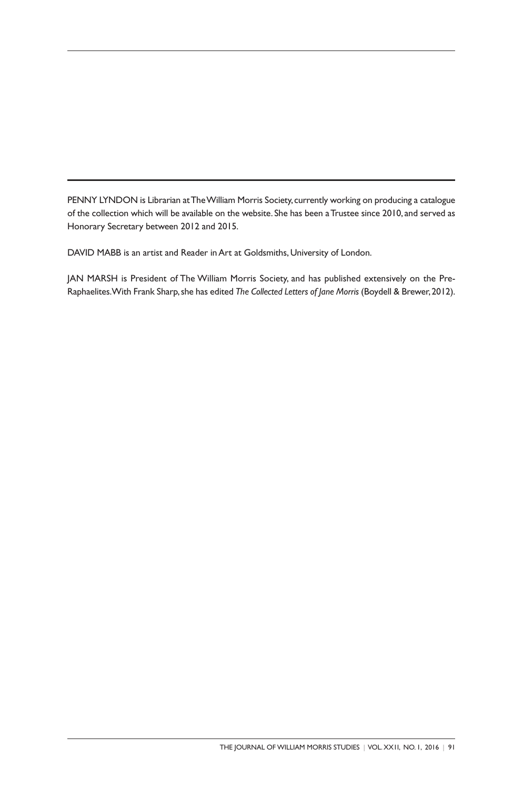PENNY LYNDON is Librarian at The William Morris Society, currently working on producing a catalogue of the collection which will be available on the website. She has been aTrustee since 2010, and served as Honorary Secretary between 2012 and 2015.

DAVID MABB is an artist and Reader in Art at Goldsmiths, University of London.

JAN MARSH is President of The William Morris Society, and has published extensively on the Pre-Raphaelites.With Frank Sharp,she has edited *The Collected Letters of Jane Morris* (Boydell & Brewer,2012).